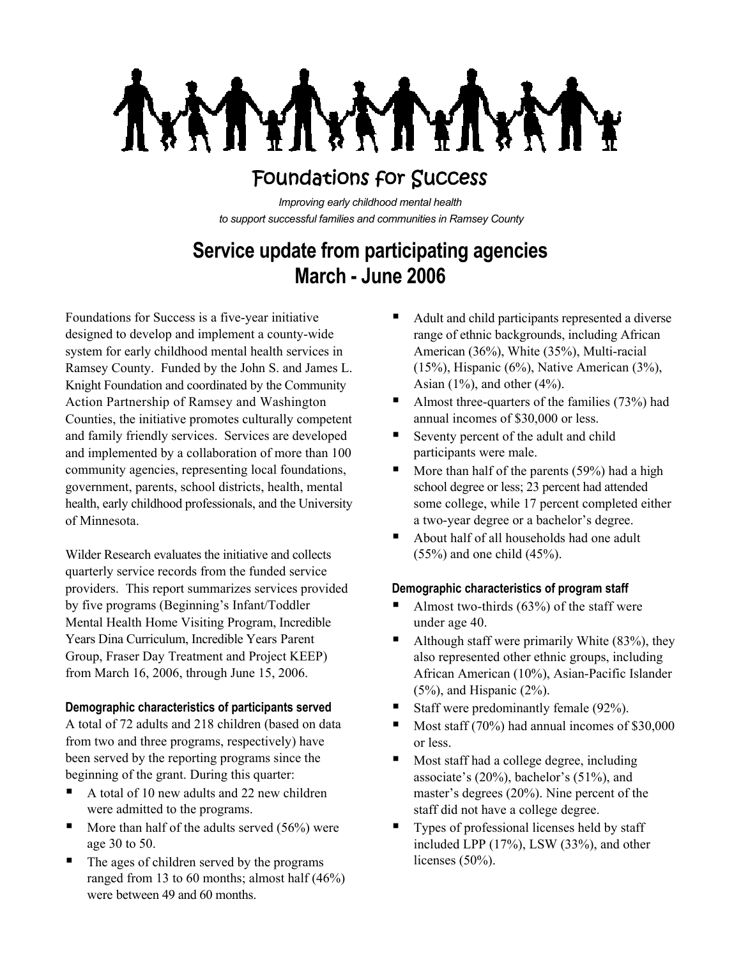# Foundations for Success

*Improving early childhood mental health to support successful families and communities in Ramsey County*

# **Service update from participating agencies March - June 2006**

Foundations for Success is a five-year initiative designed to develop and implement a county-wide system for early childhood mental health services in Ramsey County. Funded by the John S. and James L. Knight Foundation and coordinated by the Community Action Partnership of Ramsey and Washington Counties, the initiative promotes culturally competent and family friendly services. Services are developed and implemented by a collaboration of more than 100 community agencies, representing local foundations, government, parents, school districts, health, mental health, early childhood professionals, and the University of Minnesota.

Wilder Research evaluates the initiative and collects quarterly service records from the funded service providers. This report summarizes services provided by five programs (Beginning's Infant/Toddler Mental Health Home Visiting Program, Incredible Years Dina Curriculum, Incredible Years Parent Group, Fraser Day Treatment and Project KEEP) from March 16, 2006, through June 15, 2006.

## **Demographic characteristics of participants served**

A total of 72 adults and 218 children (based on data from two and three programs, respectively) have been served by the reporting programs since the beginning of the grant. During this quarter:

- A total of 10 new adults and 22 new children were admitted to the programs.
- $\blacksquare$  More than half of the adults served (56%) were age 30 to 50.
- The ages of children served by the programs ranged from 13 to 60 months; almost half (46%) were between 49 and 60 months.
- Adult and child participants represented a diverse range of ethnic backgrounds, including African American (36%), White (35%), Multi-racial (15%), Hispanic (6%), Native American (3%), Asian  $(1\%)$ , and other  $(4\%)$ .
- Almost three-quarters of the families  $(73%)$  had annual incomes of \$30,000 or less.
- Seventy percent of the adult and child participants were male.
- $\blacksquare$  More than half of the parents (59%) had a high school degree or less; 23 percent had attended some college, while 17 percent completed either a two-year degree or a bachelor's degree.
- About half of all households had one adult (55%) and one child (45%).

## **Demographic characteristics of program staff**

- Almost two-thirds (63%) of the staff were under age 40.
- Although staff were primarily White  $(83\%)$ , they also represented other ethnic groups, including African American (10%), Asian-Pacific Islander  $(5\%)$ , and Hispanic  $(2\%)$ .
- Staff were predominantly female  $(92\%)$ .
- $\blacksquare$  Most staff (70%) had annual incomes of \$30,000 or less.
- Most staff had a college degree, including associate's (20%), bachelor's (51%), and master's degrees (20%). Nine percent of the staff did not have a college degree.
- $\blacksquare$  Types of professional licenses held by staff included LPP (17%), LSW (33%), and other licenses (50%).